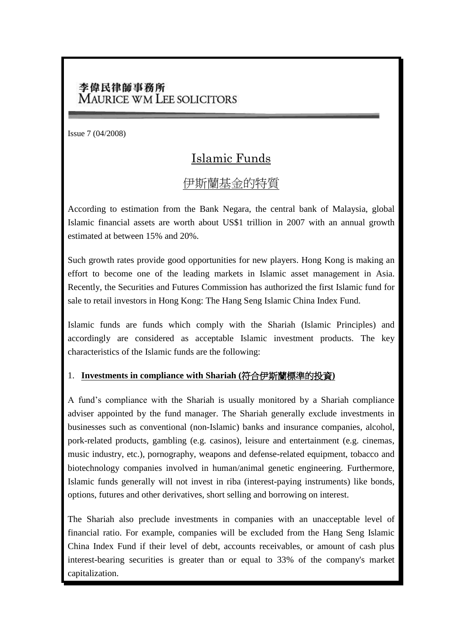### 李偉民律師事務所 **MAURICE WM LEE SOLICITORS**

Issue 7 (04/2008)

# Islamic Funds

## 伊斯蘭基金的特質

According to estimation from the Bank Negara, the central bank of Malaysia, global Islamic financial assets are worth about US\$1 trillion in 2007 with an annual growth estimated at between 15% and 20%.

Such growth rates provide good opportunities for new players. Hong Kong is making an effort to become one of the leading markets in Islamic asset management in Asia. Recently, the Securities and Futures Commission has authorized the first Islamic fund for sale to retail investors in Hong Kong: The Hang Seng Islamic China Index Fund.

Islamic funds are funds which comply with the Shariah (Islamic Principles) and accordingly are considered as acceptable Islamic investment products. The key characteristics of the Islamic funds are the following:

#### 1. **Investments in compliance with Shariah (**符合伊斯蘭標準的投資**)**

A fund's compliance with the Shariah is usually monitored by a Shariah compliance adviser appointed by the fund manager. The Shariah generally exclude investments in businesses such as conventional (non-Islamic) banks and insurance companies, alcohol, pork-related products, gambling (e.g. casinos), leisure and entertainment (e.g. cinemas, music industry, etc.), pornography, weapons and defense-related equipment, tobacco and biotechnology companies involved in human/animal genetic engineering. Furthermore, Islamic funds generally will not invest in riba (interest-paying instruments) like bonds, options, futures and other derivatives, short selling and borrowing on interest.

The Shariah also preclude investments in companies with an unacceptable level of financial ratio. For example, companies will be excluded from the Hang Seng Islamic China Index Fund if their level of debt, accounts receivables, or amount of cash plus interest-bearing securities is greater than or equal to 33% of the company's market capitalization.